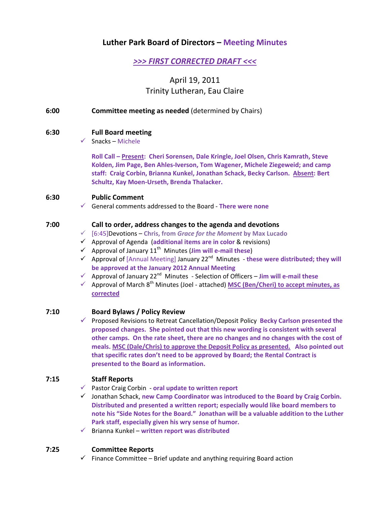# **Luther Park Board of Directors – Meeting Minutes**

# *>>> FIRST CORRECTED DRAFT <<<*

# April 19, 2011 Trinity Lutheran, Eau Claire

**6:00 Committee meeting as needed** (determined by Chairs)

## **6:30 Full Board meeting**

 $\checkmark$  Snacks – Michele

**Roll Call – Present: Cheri Sorensen, Dale Kringle, Joel Olsen, Chris Kamrath, Steve Kolden, Jim Page, Ben Ahles‐Iverson, Tom Wagener, Michele Ziegeweid; and camp staff: Craig Corbin, Brianna Kunkel, Jonathan Schack, Becky Carlson. Absent: Bert Schultz, Kay Moen‐Urseth, Brenda Thalacker.**

## **6:30 Public Comment**

9 General comments addressed to the Board ‐ **There were none**

## **7:00 Call to order, address changes to the agenda and devotions**

- 9 [6:45]Devotions **Chris, from** *Grace for the Moment* **by Max Lucado**
- 9 Approval of Agenda (**additional items are in color** & revisions)
- $\checkmark$  Approval of January 11<sup>th</sup> Minutes (*Jim will e-mail these*)
- 9 Approval of [Annual Meeting] January 22nd Minutes ‐ **these were distributed; they will be approved at the January 2012 Annual Meeting**
- 9 Approval of January 22nd Minutes ‐ Selection of Officers **Jim will e‐mail these**
- 9 Approval of March 8th Minutes (Joel ‐ attached) **MSC (Ben/Cheri) to accept minutes, as corrected**

## **7:10 Board Bylaws / Policy Review**

9 Proposed Revisions to Retreat Cancellation/Deposit Policy **Becky Carlson presented the proposed changes. She pointed out that this new wording is consistent with several other camps. On the rate sheet, there are no changes and no changes with the cost of meals. MSC (Dale/Chris) to approve the Deposit Policy as presented. Also pointed out that specific rates don't need to be approved by Board; the Rental Contract is presented to the Board as information.**

## **7:15 Staff Reports**

- 9 Pastor Craig Corbin ‐ **oral update to written report**
- 9 Jonathan Schack, **new Camp Coordinator was introduced to the Board by Craig Corbin. Distributed and presented a written report; especially would like board members to note his "Side Notes for the Board." Jonathan will be a valuable addition to the Luther Park staff, especially given his wry sense of humor.**
- 9 Brianna Kunkel **written report was distributed**

## **7:25 Committee Reports**

 $\checkmark$  Finance Committee – Brief update and anything requiring Board action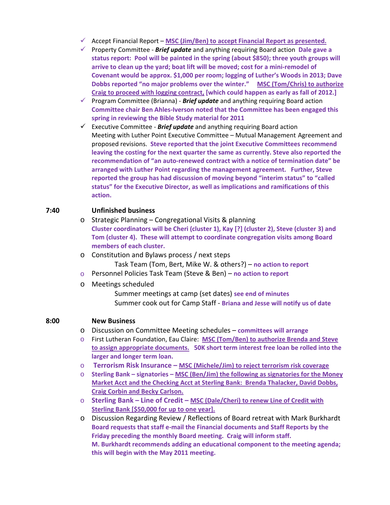- 9 Accept Financial Report **MSC (Jim/Ben) to accept Financial Report as presented.**
- 9 Property Committee ‐ *Brief update* and anything requiring Board action **Dale gave a status report: Pool will be painted in the spring (about \$850); three youth groups will arrive to clean up the yard; boat lift will be moved; cost for a mini‐remodel of Covenant would be approx. \$1,000 per room; logging of Luther's Woods in 2013; Dave Dobbs reported "no major problems over the winter." MSC (Tom/Chris) to authorize Craig to proceed with logging contract, [which could happen as early as fall of 2012.]**
- 9 Program Committee (Brianna) ‐ *Brief update* and anything requiring Board action **Committee chair Ben Ahles‐Iverson noted that the Committee has been engaged this spring in reviewing the Bible Study material for 2011**
- 9 Executive Committee ‐ *Brief update* and anything requiring Board action Meeting with Luther Point Executive Committee – Mutual Management Agreement and proposed revisions. **Steve reported that the joint Executive Committees recommend leaving the costing for the next quarter the same as currently. Steve also reported the recommendation of "an auto‐renewed contract with a notice of termination date" be arranged with Luther Point regarding the management agreement. Further, Steve reported the group has had discussion of moving beyond "interim status" to "called status" for the Executive Director, as well as implications and ramifications of this action.**

## **7:40 Unfinished business**

- o Strategic Planning Congregational Visits & planning **Cluster coordinators will be Cheri (cluster 1), Kay [?] (cluster 2), Steve (cluster 3) and Tom (cluster 4). These will attempt to coordinate congregation visits among Board members of each cluster.**
- o Constitution and Bylaws process / next steps

Task Team (Tom, Bert, Mike W. & others?) – **no action to report**

- o Personnel Policies Task Team (Steve & Ben) **no action to report**
- o Meetings scheduled
	- Summer meetings at camp (set dates) **see end of minutes** Summer cook out for Camp Staff ‐ **Briana and Jesse will notify us of date**

## **8:00 New Business**

- o Discussion on Committee Meeting schedules **committees will arrange**
- o First Lutheran Foundation, Eau Claire: **MSC (Tom/Ben) to authorize Brenda and Steve to assign appropriate documents. 50K short term interest free loan be rolled into the larger and longer term loan.**
- o **Terrorism Risk Insurance – MSC (Michele/Jim) to reject terrorism risk coverage**
- o **Sterling Bank – signatories – MSC (Ben/Jim) the following as signatories for the Money Market Acct and the Checking Acct at Sterling Bank: Brenda Thalacker, David Dobbs, Craig Corbin and Becky Carlson.**
- o **Sterling Bank – Line of Credit – MSC (Dale/Cheri) to renew Line of Credit with Sterling Bank [\$50,000 for up to one year].**
- o Discussion Regarding Review / Reflections of Board retreat with Mark Burkhardt **Board requests that staff e‐mail the Financial documents and Staff Reports by the Friday preceding the monthly Board meeting. Craig will inform staff. M. Burkhardt recommends adding an educational component to the meeting agenda; this will begin with the May 2011 meeting.**